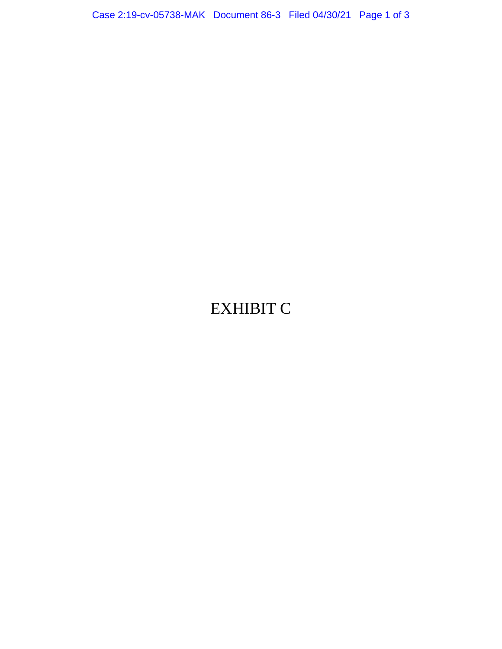## EXHIBIT C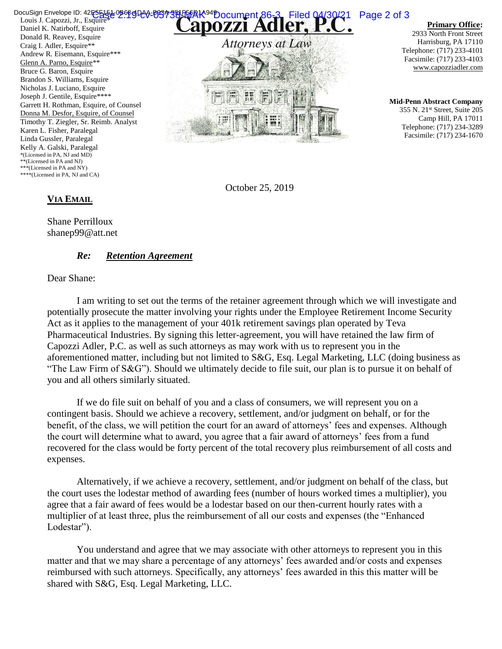Louis J. Capozzi, Jr., Esquire\* Daniel K. Natirboff, Esquire Donald R. Reavey, Esquire Craig I. Adler, Esquire\*\* Andrew R. Eisemann, Esquire\*\*\* Glenn A. Parno, Esquire\*\* Bruce G. Baron, Esquire Brandon S. Williams, Esquire Nicholas J. Luciano, Esquire Joseph J. Gentile, Esquire\*\*\*\* Garrett H. Rothman, Esquire, of Counsel Donna M. Desfor, Esquire, of Counsel Timothy T. Ziegler, Sr. Reimb. Analyst Karen L. Fisher, Paralegal Linda Gussler, Paralegal Kelly A. Galski, Paralegal \*(Licensed in PA, NJ and MD) \*\*(Licensed in PA and NJ) \*\*\*(Licensed in PA and NY) \*\*\*\*(Licensed in PA, NJ and CA) DocuSign Envelope ID: 42E5F154-0B695040-0B57-381F6fRIA<sup>94</sup>Document 86-3 Filed 04/30/21 Page 2 of 3



**Primary Office:**

2933 North Front Street Harrisburg, PA 17110 Telephone: (717) 233-4101 Facsimile: (717) 233-4103 www.capozziadler.com

**Mid-Penn Abstract Company** 355 N. 21st Street, Suite 205 Camp Hill, PA 17011 Telephone: (717) 234-3289 Facsimile: (717) 234-1670

October 25, 2019

## **VIA EMAIL**

Shane Perrilloux shanep99@att.net

## *Re: Retention Agreement*

Dear Shane:

I am writing to set out the terms of the retainer agreement through which we will investigate and potentially prosecute the matter involving your rights under the Employee Retirement Income Security Act as it applies to the management of your 401k retirement savings plan operated by Teva Pharmaceutical Industries. By signing this letter-agreement, you will have retained the law firm of Capozzi Adler, P.C. as well as such attorneys as may work with us to represent you in the aforementioned matter, including but not limited to S&G, Esq. Legal Marketing, LLC (doing business as "The Law Firm of S&G"). Should we ultimately decide to file suit, our plan is to pursue it on behalf of you and all others similarly situated.

If we do file suit on behalf of you and a class of consumers, we will represent you on a contingent basis. Should we achieve a recovery, settlement, and/or judgment on behalf, or for the benefit, of the class, we will petition the court for an award of attorneys' fees and expenses. Although the court will determine what to award, you agree that a fair award of attorneys' fees from a fund recovered for the class would be forty percent of the total recovery plus reimbursement of all costs and expenses.

Alternatively, if we achieve a recovery, settlement, and/or judgment on behalf of the class, but the court uses the lodestar method of awarding fees (number of hours worked times a multiplier), you agree that a fair award of fees would be a lodestar based on our then-current hourly rates with a multiplier of at least three, plus the reimbursement of all our costs and expenses (the "Enhanced Lodestar").

You understand and agree that we may associate with other attorneys to represent you in this matter and that we may share a percentage of any attorneys' fees awarded and/or costs and expenses reimbursed with such attorneys. Specifically, any attorneys' fees awarded in this this matter will be shared with S&G, Esq. Legal Marketing, LLC.